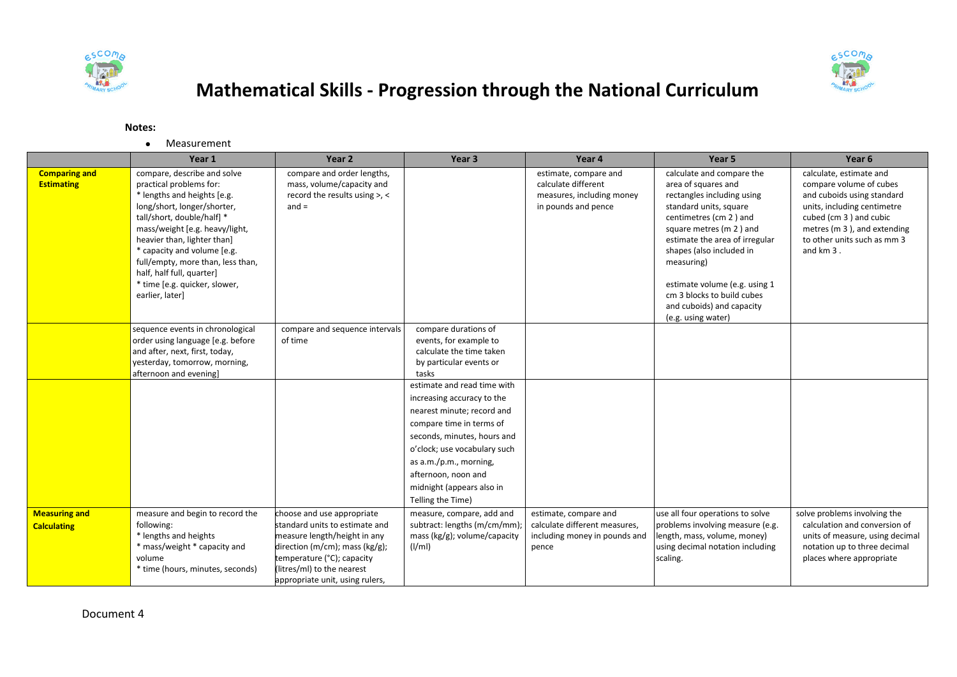



## **Mathematical Skills - Progression through the National Curriculum**

## **Notes:**

Measurement

|                                            | Year 1                                                                                                                                                                                                                                                                                                                                                                   | Year 2                                                                                                                                                                                                                            | Year <sub>3</sub>                                                                                                                                                                                                                                                                     | Year 4                                                                                           | Year <sub>5</sub>                                                                                                                                                                                                                                                                                                                                           | Year <sub>6</sub>                                                                                                                                                                                                    |
|--------------------------------------------|--------------------------------------------------------------------------------------------------------------------------------------------------------------------------------------------------------------------------------------------------------------------------------------------------------------------------------------------------------------------------|-----------------------------------------------------------------------------------------------------------------------------------------------------------------------------------------------------------------------------------|---------------------------------------------------------------------------------------------------------------------------------------------------------------------------------------------------------------------------------------------------------------------------------------|--------------------------------------------------------------------------------------------------|-------------------------------------------------------------------------------------------------------------------------------------------------------------------------------------------------------------------------------------------------------------------------------------------------------------------------------------------------------------|----------------------------------------------------------------------------------------------------------------------------------------------------------------------------------------------------------------------|
| <b>Comparing and</b><br><b>Estimating</b>  | compare, describe and solve<br>practical problems for:<br>* lengths and heights [e.g.<br>long/short, longer/shorter,<br>tall/short, double/half] *<br>mass/weight [e.g. heavy/light,<br>heavier than, lighter than]<br>* capacity and volume [e.g.<br>full/empty, more than, less than,<br>half, half full, quarter]<br>* time [e.g. quicker, slower,<br>earlier, later] | compare and order lengths,<br>mass, volume/capacity and<br>record the results using >, <<br>$and =$                                                                                                                               |                                                                                                                                                                                                                                                                                       | estimate, compare and<br>calculate different<br>measures, including money<br>in pounds and pence | calculate and compare the<br>area of squares and<br>rectangles including using<br>standard units, square<br>centimetres (cm 2) and<br>square metres (m 2) and<br>estimate the area of irregular<br>shapes (also included in<br>measuring)<br>estimate volume (e.g. using 1<br>cm 3 blocks to build cubes<br>and cuboids) and capacity<br>(e.g. using water) | calculate, estimate and<br>compare volume of cubes<br>and cuboids using standard<br>units, including centimetre<br>cubed (cm 3) and cubic<br>metres (m 3), and extending<br>to other units such as mm 3<br>and km 3. |
|                                            | sequence events in chronological<br>order using language [e.g. before<br>and after, next, first, today,<br>yesterday, tomorrow, morning,<br>afternoon and evening]                                                                                                                                                                                                       | compare and sequence intervals<br>of time                                                                                                                                                                                         | compare durations of<br>events, for example to<br>calculate the time taken<br>by particular events or<br>tasks                                                                                                                                                                        |                                                                                                  |                                                                                                                                                                                                                                                                                                                                                             |                                                                                                                                                                                                                      |
|                                            |                                                                                                                                                                                                                                                                                                                                                                          |                                                                                                                                                                                                                                   | estimate and read time with<br>increasing accuracy to the<br>nearest minute; record and<br>compare time in terms of<br>seconds, minutes, hours and<br>o'clock; use vocabulary such<br>as a.m./p.m., morning,<br>afternoon, noon and<br>midnight (appears also in<br>Telling the Time) |                                                                                                  |                                                                                                                                                                                                                                                                                                                                                             |                                                                                                                                                                                                                      |
| <b>Measuring and</b><br><b>Calculating</b> | measure and begin to record the<br>following:<br>* lengths and heights<br>* mass/weight * capacity and<br>volume<br>* time (hours, minutes, seconds)                                                                                                                                                                                                                     | choose and use appropriate<br>standard units to estimate and<br>measure length/height in any<br>direction (m/cm); mass ( $kg/g$ );<br>temperature (°C); capacity<br>(litres/ml) to the nearest<br>appropriate unit, using rulers, | measure, compare, add and<br>subtract: lengths (m/cm/mm)<br>mass (kg/g); volume/capacity<br>(I/ml)                                                                                                                                                                                    | estimate, compare and<br>calculate different measures,<br>including money in pounds and<br>pence | use all four operations to solve<br>problems involving measure (e.g.<br>length, mass, volume, money)<br>using decimal notation including<br>scaling.                                                                                                                                                                                                        | solve problems involving the<br>calculation and conversion of<br>units of measure, using decimal<br>notation up to three decimal<br>places where appropriate                                                         |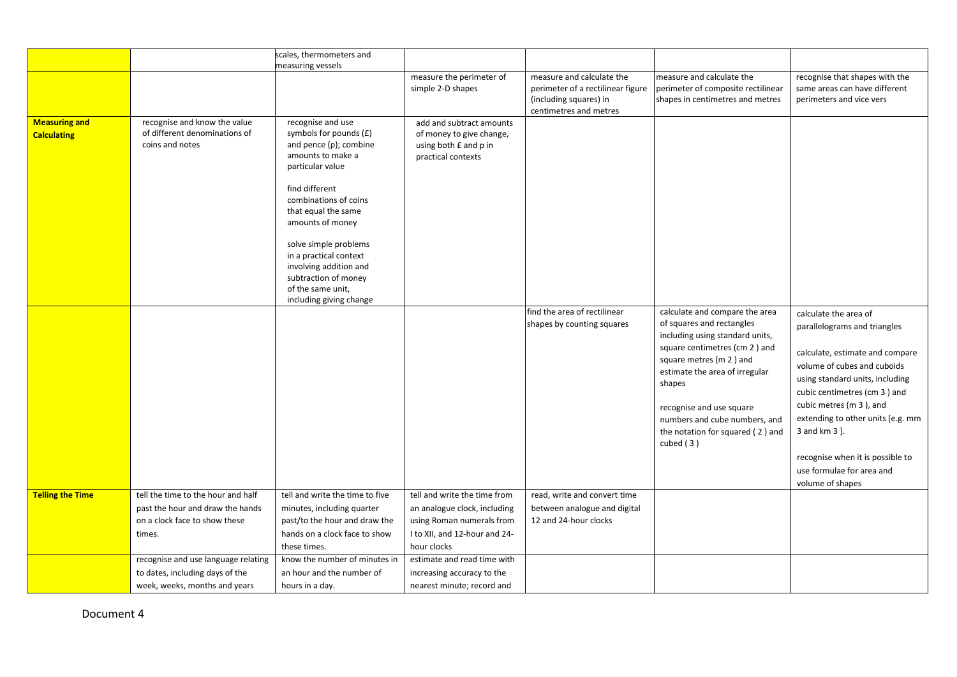|                         |                                                  | scales, thermometers and                                       |                                                            |                                                                |                                                                 |                                                                 |
|-------------------------|--------------------------------------------------|----------------------------------------------------------------|------------------------------------------------------------|----------------------------------------------------------------|-----------------------------------------------------------------|-----------------------------------------------------------------|
|                         |                                                  | measuring vessels                                              |                                                            |                                                                |                                                                 |                                                                 |
|                         |                                                  |                                                                | measure the perimeter of<br>simple 2-D shapes              | measure and calculate the<br>perimeter of a rectilinear figure | measure and calculate the<br>perimeter of composite rectilinear | recognise that shapes with the<br>same areas can have different |
|                         |                                                  |                                                                |                                                            | (including squares) in                                         | shapes in centimetres and metres                                | perimeters and vice vers                                        |
|                         |                                                  |                                                                |                                                            | centimetres and metres                                         |                                                                 |                                                                 |
| <b>Measuring and</b>    | recognise and know the value                     | recognise and use                                              | add and subtract amounts                                   |                                                                |                                                                 |                                                                 |
| <b>Calculating</b>      | of different denominations of<br>coins and notes | symbols for pounds (£)<br>and pence (p); combine               | of money to give change,<br>using both £ and p in          |                                                                |                                                                 |                                                                 |
|                         |                                                  | amounts to make a                                              | practical contexts                                         |                                                                |                                                                 |                                                                 |
|                         |                                                  | particular value                                               |                                                            |                                                                |                                                                 |                                                                 |
|                         |                                                  | find different                                                 |                                                            |                                                                |                                                                 |                                                                 |
|                         |                                                  | combinations of coins                                          |                                                            |                                                                |                                                                 |                                                                 |
|                         |                                                  | that equal the same                                            |                                                            |                                                                |                                                                 |                                                                 |
|                         |                                                  | amounts of money                                               |                                                            |                                                                |                                                                 |                                                                 |
|                         |                                                  | solve simple problems                                          |                                                            |                                                                |                                                                 |                                                                 |
|                         |                                                  | in a practical context                                         |                                                            |                                                                |                                                                 |                                                                 |
|                         |                                                  | involving addition and                                         |                                                            |                                                                |                                                                 |                                                                 |
|                         |                                                  | subtraction of money<br>of the same unit,                      |                                                            |                                                                |                                                                 |                                                                 |
|                         |                                                  | including giving change                                        |                                                            |                                                                |                                                                 |                                                                 |
|                         |                                                  |                                                                |                                                            | find the area of rectilinear                                   | calculate and compare the area                                  | calculate the area of                                           |
|                         |                                                  |                                                                |                                                            | shapes by counting squares                                     | of squares and rectangles                                       | parallelograms and triangles                                    |
|                         |                                                  |                                                                |                                                            |                                                                | including using standard units,                                 |                                                                 |
|                         |                                                  |                                                                |                                                            |                                                                | square centimetres (cm 2) and                                   | calculate, estimate and compare                                 |
|                         |                                                  |                                                                |                                                            |                                                                | square metres (m 2) and                                         | volume of cubes and cuboids                                     |
|                         |                                                  |                                                                |                                                            |                                                                | estimate the area of irregular                                  | using standard units, including                                 |
|                         |                                                  |                                                                |                                                            |                                                                | shapes                                                          | cubic centimetres (cm 3) and                                    |
|                         |                                                  |                                                                |                                                            |                                                                | recognise and use square                                        | cubic metres (m 3), and                                         |
|                         |                                                  |                                                                |                                                            |                                                                | numbers and cube numbers, and                                   | extending to other units [e.g. mm                               |
|                         |                                                  |                                                                |                                                            |                                                                | the notation for squared (2) and                                | 3 and km 3 ].                                                   |
|                         |                                                  |                                                                |                                                            |                                                                | cubed $(3)$                                                     |                                                                 |
|                         |                                                  |                                                                |                                                            |                                                                |                                                                 | recognise when it is possible to                                |
|                         |                                                  |                                                                |                                                            |                                                                |                                                                 | use formulae for area and                                       |
|                         |                                                  |                                                                |                                                            |                                                                |                                                                 | volume of shapes                                                |
| <b>Telling the Time</b> | tell the time to the hour and half               | tell and write the time to five                                | tell and write the time from                               | read, write and convert time                                   |                                                                 |                                                                 |
|                         | past the hour and draw the hands                 | minutes, including quarter                                     | an analogue clock, including                               | between analogue and digital                                   |                                                                 |                                                                 |
|                         | on a clock face to show these<br>times.          | past/to the hour and draw the<br>hands on a clock face to show | using Roman numerals from<br>I to XII, and 12-hour and 24- | 12 and 24-hour clocks                                          |                                                                 |                                                                 |
|                         |                                                  | these times.                                                   | hour clocks                                                |                                                                |                                                                 |                                                                 |
|                         | recognise and use language relating              | know the number of minutes in                                  | estimate and read time with                                |                                                                |                                                                 |                                                                 |
|                         | to dates, including days of the                  | an hour and the number of                                      | increasing accuracy to the                                 |                                                                |                                                                 |                                                                 |
|                         | week, weeks, months and years                    |                                                                | nearest minute; record and                                 |                                                                |                                                                 |                                                                 |
|                         |                                                  | hours in a day.                                                |                                                            |                                                                |                                                                 |                                                                 |